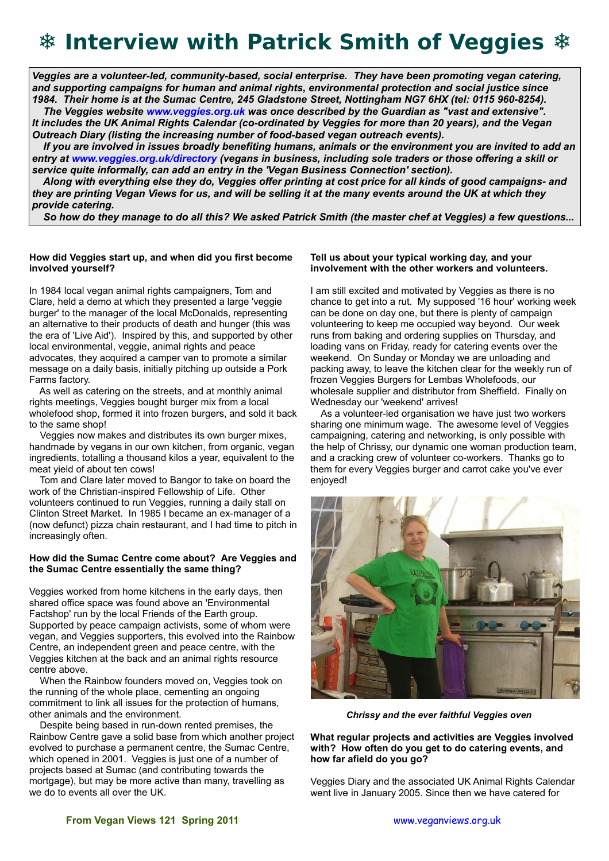# **❄ Interview with Patrick Smith of Veggies ❄**

*Veggies are a volunteer-led, community-based, social enterprise. They have been promoting vegan catering, and supporting campaigns for human and animal rights, environmental protection and social justice since 1984. Their home is at the Sumac Centre, 245 Gladstone Street, Nottingham NG7 6HX (tel: 0115 960-8254).*

 *The Veggies website [www.veggies.org.uk](http://www.veggies.org.uk/) was once described by the Guardian as "vast and extensive". It includes the UK Animal Rights Calendar (co-ordinated by Veggies for more than 20 years), and the Vegan Outreach Diary (listing the increasing number of food-based vegan outreach events).* 

 *If you are involved in issues broadly benefiting humans, animals or the environment you are invited to add an entry at [www.veggies.org.uk/directory](http://www.veggies.org.uk/directory) (vegans in business, including sole traders or those offering a skill or service quite informally, can add an entry in the 'Vegan Business Connection' section).* 

 *Along with everything else they do, Veggies offer printing at cost price for all kinds of good campaigns- and they are printing Vegan Views for us, and will be selling it at the many events around the UK at which they provide catering.*

 *So how do they manage to do all this? We asked Patrick Smith (the master chef at Veggies) a few questions...*

### **How did Veggies start up, and when did you first become involved yourself?**

In 1984 local vegan animal rights campaigners, Tom and Clare, held a demo at which they presented a large 'veggie burger' to the manager of the local McDonalds, representing an alternative to their products of death and hunger (this was the era of 'Live Aid'). Inspired by this, and supported by other local environmental, veggie, animal rights and peace advocates, they acquired a camper van to promote a similar message on a daily basis, initially pitching up outside a Pork Farms factory.

 As well as catering on the streets, and at monthly animal rights meetings, Veggies bought burger mix from a local wholefood shop, formed it into frozen burgers, and sold it back to the same shop!

 Veggies now makes and distributes its own burger mixes, handmade by vegans in our own kitchen, from organic, vegan ingredients, totalling a thousand kilos a year, equivalent to the meat yield of about ten cows!

 Tom and Clare later moved to Bangor to take on board the work of the Christian-inspired Fellowship of Life. Other volunteers continued to run Veggies, running a daily stall on Clinton Street Market. In 1985 I became an ex-manager of a (now defunct) pizza chain restaurant, and I had time to pitch in increasingly often.

### **How did the Sumac Centre come about? Are Veggies and the Sumac Centre essentially the same thing?**

Veggies worked from home kitchens in the early days, then shared office space was found above an 'Environmental Factshop' run by the local Friends of the Earth group. Supported by peace campaign activists, some of whom were vegan, and Veggies supporters, this evolved into the Rainbow Centre, an independent green and peace centre, with the Veggies kitchen at the back and an animal rights resource centre above.

 When the Rainbow founders moved on, Veggies took on the running of the whole place, cementing an ongoing commitment to link all issues for the protection of humans, other animals and the environment.

 Despite being based in run-down rented premises, the Rainbow Centre gave a solid base from which another project evolved to purchase a permanent centre, the Sumac Centre, which opened in 2001. Veggies is just one of a number of projects based at Sumac (and contributing towards the mortgage), but may be more active than many, travelling as we do to events all over the UK.

## **Tell us about your typical working day, and your involvement with the other workers and volunteers.**

I am still excited and motivated by Veggies as there is no chance to get into a rut. My supposed '16 hour' working week can be done on day one, but there is plenty of campaign volunteering to keep me occupied way beyond. Our week runs from baking and ordering supplies on Thursday, and loading vans on Friday, ready for catering events over the weekend. On Sunday or Monday we are unloading and packing away, to leave the kitchen clear for the weekly run of frozen Veggies Burgers for Lembas Wholefoods, our wholesale supplier and distributor from Sheffield. Finally on Wednesday our 'weekend' arrives!

 As a volunteer-led organisation we have just two workers sharing one minimum wage. The awesome level of Veggies campaigning, catering and networking, is only possible with the help of Chrissy, our dynamic one woman production team, and a cracking crew of volunteer co-workers. Thanks go to them for every Veggies burger and carrot cake you've ever enjoyed!



 *Chrissy and the ever faithful Veggies oven*

**What regular projects and activities are Veggies involved with? How often do you get to do catering events, and how far afield do you go?**

Veggies Diary and the associated UK Animal Rights Calendar went live in January 2005. Since then we have catered for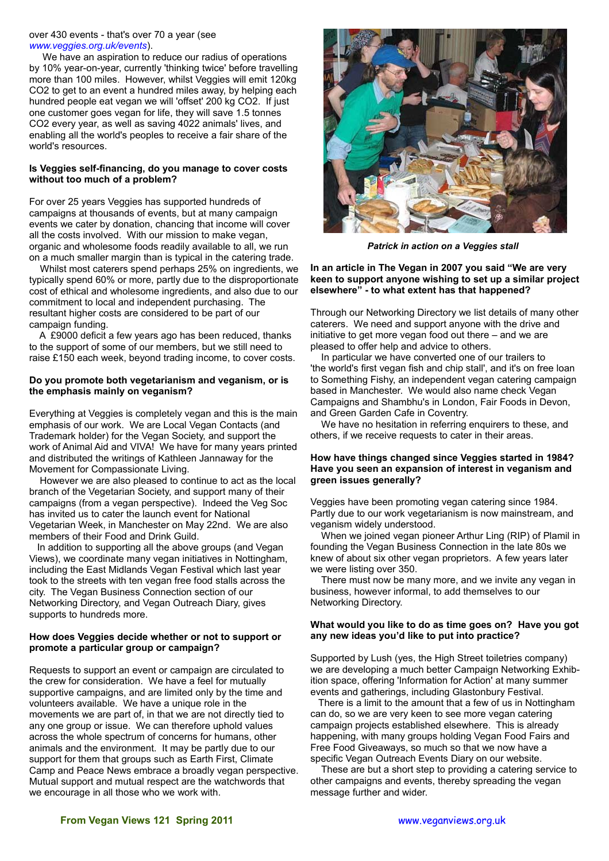#### over 430 events - that's over 70 a year (see *[www.veggies.org.uk/events](http://www.veggies.org.uk/events)*).

 We have an aspiration to reduce our radius of operations by 10% year-on-year, currently 'thinking twice' before travelling more than 100 miles. However, whilst Veggies will emit 120kg CO2 to get to an event a hundred miles away, by helping each hundred people eat vegan we will 'offset' 200 kg CO2. If just one customer goes vegan for life, they will save 1.5 tonnes CO2 every year, as well as saving 4022 animals' lives, and enabling all the world's peoples to receive a fair share of the world's resources.

### **Is Veggies self-financing, do you manage to cover costs without too much of a problem?**

For over 25 years Veggies has supported hundreds of campaigns at thousands of events, but at many campaign events we cater by donation, chancing that income will cover all the costs involved. With our mission to make vegan, organic and wholesome foods readily available to all, we run on a much smaller margin than is typical in the catering trade.

 Whilst most caterers spend perhaps 25% on ingredients, we typically spend 60% or more, partly due to the disproportionate cost of ethical and wholesome ingredients, and also due to our commitment to local and independent purchasing. The resultant higher costs are considered to be part of our campaign funding.

 A £9000 deficit a few years ago has been reduced, thanks to the support of some of our members, but we still need to raise £150 each week, beyond trading income, to cover costs.

#### **Do you promote both vegetarianism and veganism, or is the emphasis mainly on veganism?**

Everything at Veggies is completely vegan and this is the main emphasis of our work. We are Local Vegan Contacts (and Trademark holder) for the Vegan Society, and support the work of Animal Aid and VIVA! We have for many years printed and distributed the writings of Kathleen Jannaway for the Movement for Compassionate Living.

 However we are also pleased to continue to act as the local branch of the Vegetarian Society, and support many of their campaigns (from a vegan perspective). Indeed the Veg Soc has invited us to cater the launch event for National Vegetarian Week, in Manchester on May 22nd. We are also members of their Food and Drink Guild.

 In addition to supporting all the above groups (and Vegan Views), we coordinate many vegan initiatives in Nottingham, including the East Midlands Vegan Festival which last year took to the streets with ten vegan free food stalls across the city. The Vegan Business Connection section of our Networking Directory, and Vegan Outreach Diary, gives supports to hundreds more.

### **How does Veggies decide whether or not to support or promote a particular group or campaign?**

Requests to support an event or campaign are circulated to the crew for consideration. We have a feel for mutually supportive campaigns, and are limited only by the time and volunteers available. We have a unique role in the movements we are part of, in that we are not directly tied to any one group or issue. We can therefore uphold values across the whole spectrum of concerns for humans, other animals and the environment. It may be partly due to our support for them that groups such as Earth First, Climate Camp and Peace News embrace a broadly vegan perspective. Mutual support and mutual respect are the watchwords that we encourage in all those who we work with.



*Patrick in action on a Veggies stall*

**In an article in The Vegan in 2007 you said "We are very keen to support anyone wishing to set up a similar project elsewhere" - to what extent has that happened?**

Through our Networking Directory we list details of many other caterers. We need and support anyone with the drive and initiative to get more vegan food out there – and we are pleased to offer help and advice to others.

 In particular we have converted one of our trailers to 'the world's first vegan fish and chip stall', and it's on free loan to Something Fishy, an independent vegan catering campaign based in Manchester. We would also name check Vegan Campaigns and Shambhu's in London, Fair Foods in Devon, and Green Garden Cafe in Coventry.

 We have no hesitation in referring enquirers to these, and others, if we receive requests to cater in their areas.

#### **How have things changed since Veggies started in 1984? Have you seen an expansion of interest in veganism and green issues generally?**

Veggies have been promoting vegan catering since 1984. Partly due to our work vegetarianism is now mainstream, and veganism widely understood.

 When we joined vegan pioneer Arthur Ling (RIP) of Plamil in founding the Vegan Business Connection in the late 80s we knew of about six other vegan proprietors. A few years later we were listing over 350.

 There must now be many more, and we invite any vegan in business, however informal, to add themselves to our Networking Directory.

### **What would you like to do as time goes on? Have you got any new ideas you'd like to put into practice?**

Supported by Lush (yes, the High Street toiletries company) we are developing a much better Campaign Networking Exhibition space, offering 'Information for Action' at many summer events and gatherings, including Glastonbury Festival.

 There is a limit to the amount that a few of us in Nottingham can do, so we are very keen to see more vegan catering campaign projects established elsewhere. This is already happening, with many groups holding Vegan Food Fairs and Free Food Giveaways, so much so that we now have a specific Vegan Outreach Events Diary on our website.

 These are but a short step to providing a catering service to other campaigns and events, thereby spreading the vegan message further and wider.